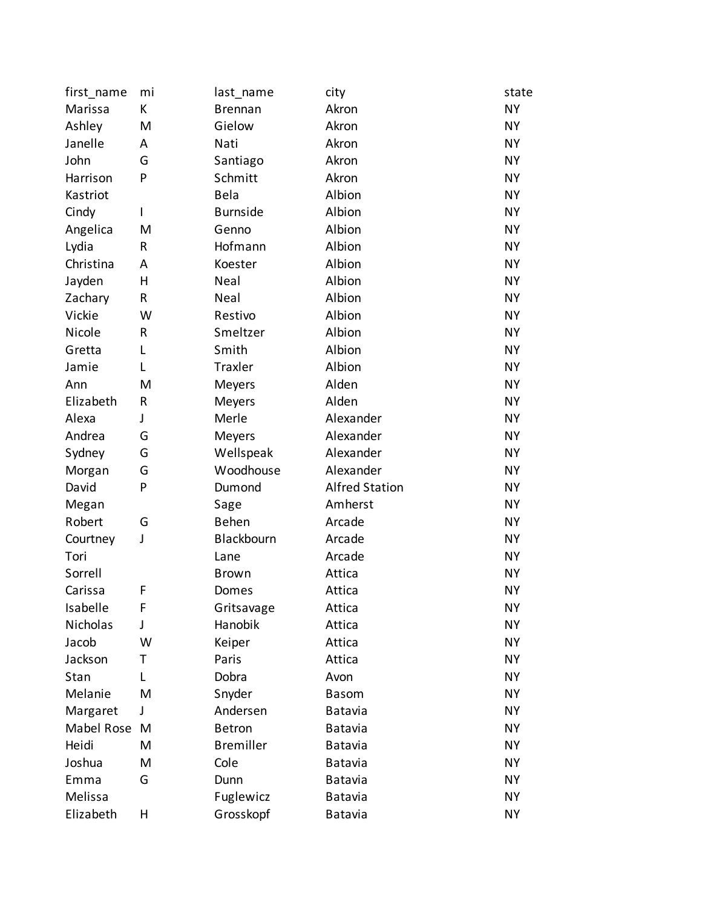| first_name   | mi | last_name        | city                  | state     |
|--------------|----|------------------|-----------------------|-----------|
| Marissa      | К  | <b>Brennan</b>   | Akron                 | <b>NY</b> |
| Ashley       | M  | Gielow           | Akron                 | <b>NY</b> |
| Janelle      | А  | Nati             | Akron                 | <b>NY</b> |
| John         | G  | Santiago         | Akron                 | <b>NY</b> |
| Harrison     | P  | Schmitt          | Akron                 | <b>NY</b> |
| Kastriot     |    | <b>Bela</b>      | Albion                | <b>NY</b> |
| Cindy        | I  | <b>Burnside</b>  | Albion                | <b>NY</b> |
| Angelica     | M  | Genno            | Albion                | <b>NY</b> |
| Lydia        | R  | Hofmann          | Albion                | <b>NY</b> |
| Christina    | Α  | Koester          | Albion                | <b>NY</b> |
| Jayden       | Н  | Neal             | Albion                | <b>NY</b> |
| Zachary      | R  | Neal             | Albion                | <b>NY</b> |
| Vickie       | W  | Restivo          | Albion                | <b>NY</b> |
| Nicole       | R  | Smeltzer         | Albion                | <b>NY</b> |
| Gretta       | L  | Smith            | Albion                | <b>NY</b> |
| Jamie        | L  | Traxler          | Albion                | <b>NY</b> |
| Ann          | M  | Meyers           | Alden                 | <b>NY</b> |
| Elizabeth    | R  | Meyers           | Alden                 | <b>NY</b> |
| Alexa        | J  | Merle            | Alexander             | <b>NY</b> |
| Andrea       | G  | Meyers           | Alexander             | <b>NY</b> |
| Sydney       | G  | Wellspeak        | Alexander             | <b>NY</b> |
| Morgan       | G  | Woodhouse        | Alexander             | <b>NY</b> |
| David        | P  | Dumond           | <b>Alfred Station</b> | <b>NY</b> |
| Megan        |    | Sage             | Amherst               | <b>NY</b> |
| Robert       | G  | Behen            | Arcade                | <b>NY</b> |
| Courtney     | J  | Blackbourn       | Arcade                | <b>NY</b> |
| Tori         |    | Lane             | Arcade                | <b>NY</b> |
| Sorrell      |    | <b>Brown</b>     | Attica                | <b>NY</b> |
| Carissa      | F  | Domes            | Attica                | <b>NY</b> |
| Isabelle     | F  | Gritsavage       | Attica                | <b>NY</b> |
| Nicholas     | J  | Hanobik          | Attica                | <b>NY</b> |
| Jacob        | W  | Keiper           | Attica                | <b>NY</b> |
| Jackson      | Τ  | Paris            | Attica                | <b>NY</b> |
| Stan         | L  | Dobra            | Avon                  | <b>NY</b> |
| Melanie      | M  | Snyder           | <b>Basom</b>          | <b>NY</b> |
| Margaret     | J  | Andersen         | <b>Batavia</b>        | <b>NY</b> |
| Mabel Rose M |    | <b>Betron</b>    | Batavia               | <b>NY</b> |
| Heidi        | M  | <b>Bremiller</b> | Batavia               | <b>NY</b> |
| Joshua       | M  | Cole             | Batavia               | <b>NY</b> |
| Emma         | G  | Dunn             | <b>Batavia</b>        | <b>NY</b> |
| Melissa      |    | Fuglewicz        | Batavia               | <b>NY</b> |
| Elizabeth    | Н  | Grosskopf        | Batavia               | <b>NY</b> |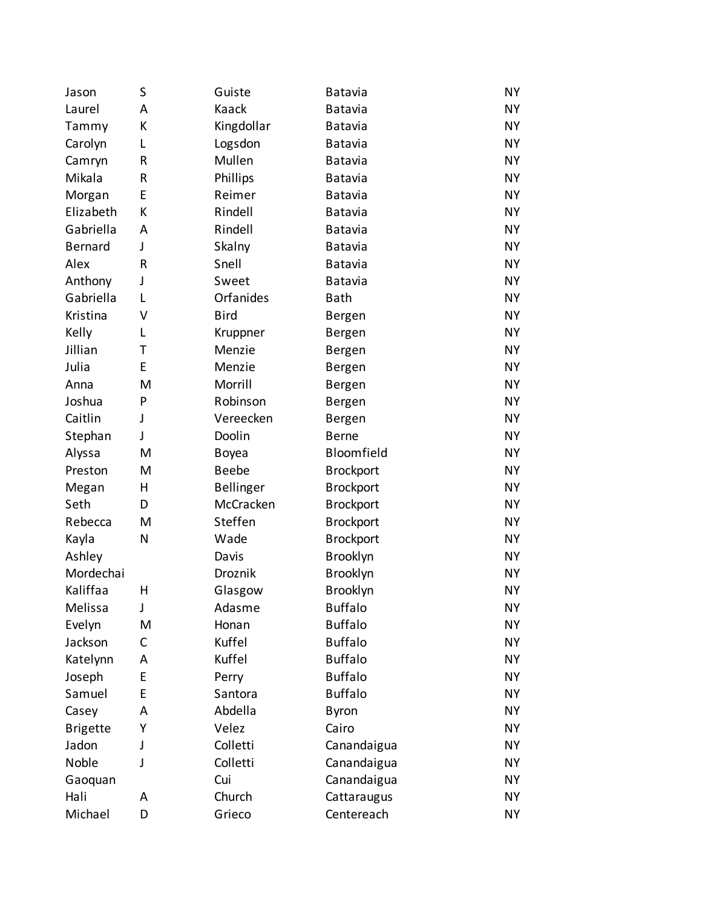| Jason           | S | Guiste           | Batavia          | <b>NY</b> |
|-----------------|---|------------------|------------------|-----------|
| Laurel          | Α | Kaack            | Batavia          | <b>NY</b> |
| Tammy           | К | Kingdollar       | <b>Batavia</b>   | <b>NY</b> |
| Carolyn         | L | Logsdon          | Batavia          | <b>NY</b> |
| Camryn          | R | Mullen           | <b>Batavia</b>   | <b>NY</b> |
| Mikala          | R | Phillips         | Batavia          | <b>NY</b> |
| Morgan          | E | Reimer           | <b>Batavia</b>   | <b>NY</b> |
| Elizabeth       | К | Rindell          | Batavia          | <b>NY</b> |
| Gabriella       | Α | Rindell          | <b>Batavia</b>   | <b>NY</b> |
| <b>Bernard</b>  | J | Skalny           | Batavia          | <b>NY</b> |
| Alex            | R | Snell            | <b>Batavia</b>   | <b>NY</b> |
| Anthony         | J | Sweet            | Batavia          | <b>NY</b> |
| Gabriella       | L | Orfanides        | <b>Bath</b>      | <b>NY</b> |
| Kristina        | V | <b>Bird</b>      | <b>Bergen</b>    | <b>NY</b> |
| Kelly           | L | Kruppner         | Bergen           | <b>NY</b> |
| Jillian         | Τ | Menzie           | <b>Bergen</b>    | <b>NY</b> |
| Julia           | E | Menzie           | Bergen           | <b>NY</b> |
| Anna            | M | Morrill          | Bergen           | <b>NY</b> |
| Joshua          | P | Robinson         | Bergen           | <b>NY</b> |
| Caitlin         | J | Vereecken        | Bergen           | <b>NY</b> |
| Stephan         | J | Doolin           | <b>Berne</b>     | <b>NY</b> |
| Alyssa          | M | Boyea            | Bloomfield       | <b>NY</b> |
| Preston         | M | <b>Beebe</b>     | <b>Brockport</b> | <b>NY</b> |
| Megan           | Η | <b>Bellinger</b> | <b>Brockport</b> | <b>NY</b> |
| Seth            | D | McCracken        | <b>Brockport</b> | <b>NY</b> |
| Rebecca         | M | Steffen          | <b>Brockport</b> | <b>NY</b> |
| Kayla           | N | Wade             | <b>Brockport</b> | <b>NY</b> |
| Ashley          |   | Davis            | Brooklyn         | <b>NY</b> |
| Mordechai       |   | Droznik          | Brooklyn         | <b>NY</b> |
| Kaliffaa        | Η | Glasgow          | Brooklyn         | <b>NY</b> |
| Melissa         | J | Adasme           | <b>Buffalo</b>   | <b>NY</b> |
| Evelyn          | M | Honan            | <b>Buffalo</b>   | <b>NY</b> |
| Jackson         | С | Kuffel           | <b>Buffalo</b>   | NY.       |
| Katelynn        | A | Kuffel           | <b>Buffalo</b>   | <b>NY</b> |
| Joseph          | E | Perry            | <b>Buffalo</b>   | NY.       |
| Samuel          | E | Santora          | <b>Buffalo</b>   | <b>NY</b> |
| Casey           | A | Abdella          | <b>Byron</b>     | <b>NY</b> |
| <b>Brigette</b> | Υ | Velez            | Cairo            | <b>NY</b> |
| Jadon           | J | Colletti         | Canandaigua      | NY.       |
| Noble           | J | Colletti         | Canandaigua      | <b>NY</b> |
| Gaoquan         |   | Cui              | Canandaigua      | NY.       |
| Hali            | A | Church           | Cattaraugus      | <b>NY</b> |
| Michael         | D | Grieco           | Centereach       | NΥ        |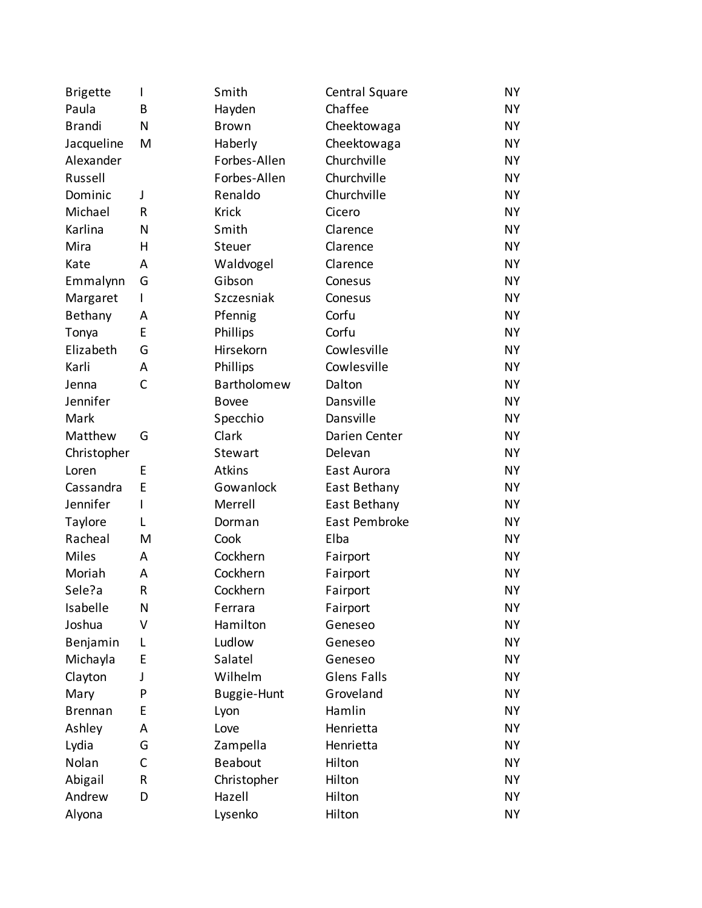| <b>Brigette</b> | I | Smith          | Central Square     | <b>NY</b> |
|-----------------|---|----------------|--------------------|-----------|
| Paula           | В | Hayden         | Chaffee            | <b>NY</b> |
| <b>Brandi</b>   | N | <b>Brown</b>   | Cheektowaga        | <b>NY</b> |
| Jacqueline      | M | Haberly        | Cheektowaga        | <b>NY</b> |
| Alexander       |   | Forbes-Allen   | Churchville        | <b>NY</b> |
| Russell         |   | Forbes-Allen   | Churchville        | <b>NY</b> |
| Dominic         | J | Renaldo        | Churchville        | <b>NY</b> |
| Michael         | R | <b>Krick</b>   | Cicero             | <b>NY</b> |
| Karlina         | N | Smith          | Clarence           | <b>NY</b> |
| Mira            | н | Steuer         | Clarence           | <b>NY</b> |
| Kate            | A | Waldvogel      | Clarence           | <b>NY</b> |
| Emmalynn        | G | Gibson         | Conesus            | <b>NY</b> |
| Margaret        | L | Szczesniak     | Conesus            | <b>NY</b> |
| Bethany         | A | Pfennig        | Corfu              | <b>NY</b> |
| Tonya           | E | Phillips       | Corfu              | <b>NY</b> |
| Elizabeth       | G | Hirsekorn      | Cowlesville        | <b>NY</b> |
| Karli           | Α | Phillips       | Cowlesville        | <b>NY</b> |
| Jenna           | C | Bartholomew    | Dalton             | <b>NY</b> |
| Jennifer        |   | <b>Bovee</b>   | Dansville          | <b>NY</b> |
| Mark            |   | Specchio       | Dansville          | <b>NY</b> |
| Matthew         | G | Clark          | Darien Center      | <b>NY</b> |
| Christopher     |   | Stewart        | Delevan            | <b>NY</b> |
| Loren           | E | Atkins         | East Aurora        | <b>NY</b> |
| Cassandra       | E | Gowanlock      | East Bethany       | <b>NY</b> |
| Jennifer        | L | Merrell        | East Bethany       | <b>NY</b> |
| Taylore         | L | Dorman         | East Pembroke      | <b>NY</b> |
| Racheal         | M | Cook           | Elba               | <b>NY</b> |
| <b>Miles</b>    | A | Cockhern       | Fairport           | <b>NY</b> |
| Moriah          | A | Cockhern       | Fairport           | <b>NY</b> |
| Sele?a          | R | Cockhern       | Fairport           | <b>NY</b> |
| Isabelle        | N | Ferrara        | Fairport           | NY.       |
| Joshua          | V | Hamilton       | Geneseo            | <b>NY</b> |
| Benjamin        | L | Ludlow         | Geneseo            | <b>NY</b> |
| Michayla        | E | Salatel        | Geneseo            | <b>NY</b> |
| Clayton         | J | Wilhelm        | <b>Glens Falls</b> | <b>NY</b> |
| Mary            | P | Buggie-Hunt    | Groveland          | <b>NY</b> |
| <b>Brennan</b>  | E | Lyon           | Hamlin             | <b>NY</b> |
| Ashley          | A | Love           | Henrietta          | <b>NY</b> |
| Lydia           | G | Zampella       | Henrietta          | <b>NY</b> |
| Nolan           | C | <b>Beabout</b> | Hilton             | <b>NY</b> |
| Abigail         | R | Christopher    | Hilton             | <b>NY</b> |
| Andrew          | D | Hazell         | Hilton             | <b>NY</b> |
| Alyona          |   | Lysenko        | Hilton             | NΥ        |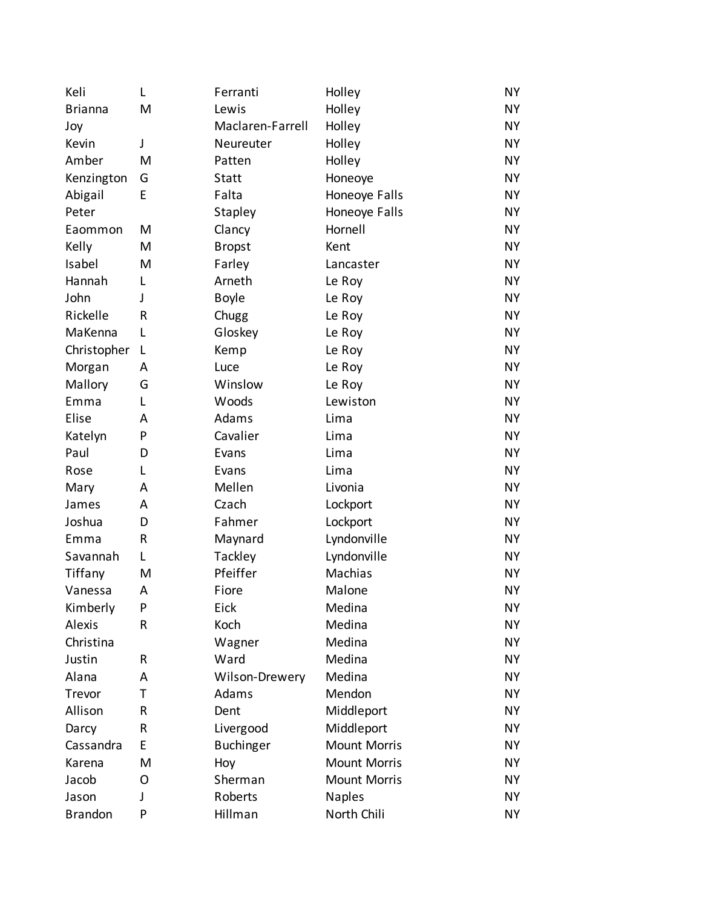| Keli           | L            | Ferranti         | Holley              | <b>NY</b> |
|----------------|--------------|------------------|---------------------|-----------|
| <b>Brianna</b> | M            | Lewis            | Holley              | <b>NY</b> |
| Joy            |              | Maclaren-Farrell | Holley              | <b>NY</b> |
| Kevin          | J            | Neureuter        | Holley              | <b>NY</b> |
| Amber          | M            | Patten           | Holley              | <b>NY</b> |
| Kenzington     | G            | Statt            | Honeoye             | <b>NY</b> |
| Abigail        | E            | Falta            | Honeoye Falls       | <b>NY</b> |
| Peter          |              | Stapley          | Honeoye Falls       | <b>NY</b> |
| Eaommon        | M            | Clancy           | Hornell             | <b>NY</b> |
| Kelly          | M            | <b>Bropst</b>    | Kent                | <b>NY</b> |
| Isabel         | M            | Farley           | Lancaster           | <b>NY</b> |
| Hannah         | L            | Arneth           | Le Roy              | <b>NY</b> |
| John           | $\mathsf{I}$ | <b>Boyle</b>     | Le Roy              | <b>NY</b> |
| Rickelle       | R            | Chugg            | Le Roy              | <b>NY</b> |
| MaKenna        | L            | Gloskey          | Le Roy              | <b>NY</b> |
| Christopher    | L            | Kemp             | Le Roy              | <b>NY</b> |
| Morgan         | A            | Luce             | Le Roy              | <b>NY</b> |
| Mallory        | G            | Winslow          | Le Roy              | <b>NY</b> |
| Emma           | L            | Woods            | Lewiston            | <b>NY</b> |
| Elise          | A            | Adams            | Lima                | <b>NY</b> |
| Katelyn        | P            | Cavalier         | Lima                | <b>NY</b> |
| Paul           | D            | Evans            | Lima                | <b>NY</b> |
| Rose           | L            | Evans            | Lima                | <b>NY</b> |
| Mary           | A            | Mellen           | Livonia             | <b>NY</b> |
| James          | A            | Czach            | Lockport            | <b>NY</b> |
| Joshua         | D            | Fahmer           | Lockport            | <b>NY</b> |
| Emma           | R            | Maynard          | Lyndonville         | <b>NY</b> |
| Savannah       | L            | Tackley          | Lyndonville         | <b>NY</b> |
| Tiffany        | M            | Pfeiffer         | Machias             | NΥ        |
| Vanessa        | A            | Fiore            | Malone              | <b>NY</b> |
| Kimberly       | P            | Eick             | Medina              | <b>NY</b> |
| <b>Alexis</b>  | R            | Koch             | Medina              | <b>NY</b> |
| Christina      |              | Wagner           | Medina              | NY.       |
| Justin         | R            | Ward             | Medina              | <b>NY</b> |
| Alana          | A            | Wilson-Drewery   | Medina              | <b>NY</b> |
| Trevor         | т            | Adams            | Mendon              | <b>NY</b> |
| Allison        | R            | Dent             | Middleport          | <b>NY</b> |
| Darcy          | R            | Livergood        | Middleport          | <b>NY</b> |
| Cassandra      | E            | <b>Buchinger</b> | <b>Mount Morris</b> | <b>NY</b> |
| Karena         | M            | Hoy              | <b>Mount Morris</b> | <b>NY</b> |
| Jacob          | 0            | Sherman          | <b>Mount Morris</b> | <b>NY</b> |
| Jason          | J            | Roberts          | <b>Naples</b>       | <b>NY</b> |
| <b>Brandon</b> | P            | Hillman          | North Chili         | NΥ        |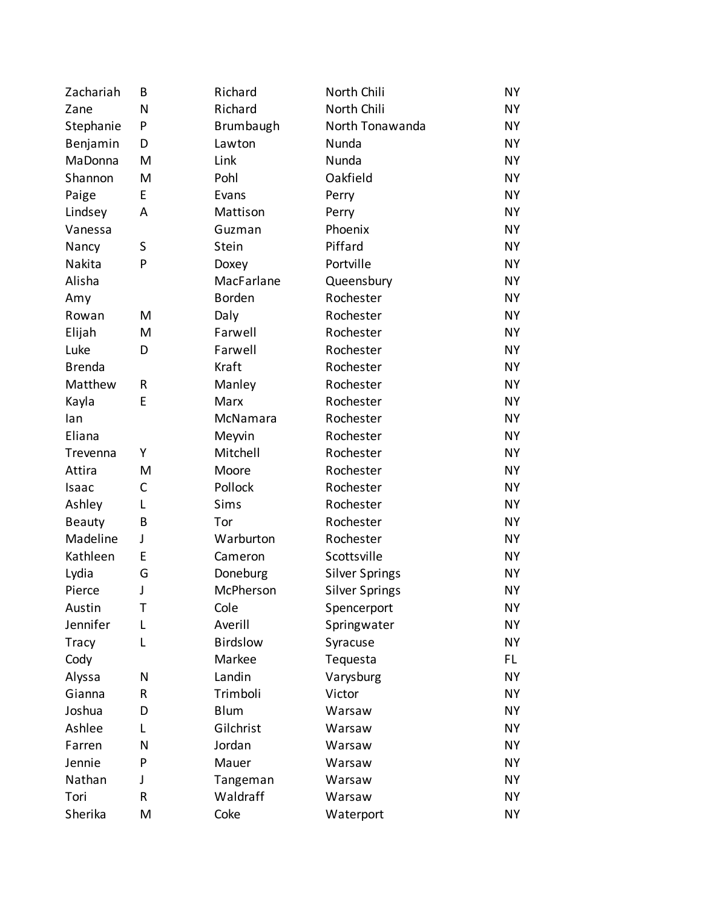| Zachariah      | B | Richard         | North Chili           | <b>NY</b> |
|----------------|---|-----------------|-----------------------|-----------|
| Zane           | N | Richard         | North Chili           | <b>NY</b> |
| Stephanie      | P | Brumbaugh       | North Tonawanda       | <b>NY</b> |
| Benjamin       | D | Lawton          | Nunda                 | <b>NY</b> |
| <b>MaDonna</b> | M | Link            | Nunda                 | <b>NY</b> |
| Shannon        | M | Pohl            | Oakfield              | <b>NY</b> |
| Paige          | E | Evans           | Perry                 | <b>NY</b> |
| Lindsey        | A | Mattison        | Perry                 | <b>NY</b> |
| Vanessa        |   | Guzman          | Phoenix               | <b>NY</b> |
| Nancy          | S | Stein           | Piffard               | <b>NY</b> |
| Nakita         | P | Doxey           | Portville             | <b>NY</b> |
| Alisha         |   | MacFarlane      | Queensbury            | <b>NY</b> |
| Amy            |   | <b>Borden</b>   | Rochester             | <b>NY</b> |
| Rowan          | M | Daly            | Rochester             | <b>NY</b> |
| Elijah         | M | Farwell         | Rochester             | <b>NY</b> |
| Luke           | D | Farwell         | Rochester             | <b>NY</b> |
| <b>Brenda</b>  |   | Kraft           | Rochester             | <b>NY</b> |
| Matthew        | R | Manley          | Rochester             | <b>NY</b> |
| Kayla          | E | Marx            | Rochester             | <b>NY</b> |
| lan            |   | McNamara        | Rochester             | <b>NY</b> |
| Eliana         |   | Meyvin          | Rochester             | <b>NY</b> |
| Trevenna       | Υ | Mitchell        | Rochester             | <b>NY</b> |
| Attira         | M | Moore           | Rochester             | <b>NY</b> |
| Isaac          | C | Pollock         | Rochester             | <b>NY</b> |
| Ashley         | L | Sims            | Rochester             | <b>NY</b> |
| <b>Beauty</b>  | B | Tor             | Rochester             | <b>NY</b> |
| Madeline       | J | Warburton       | Rochester             | <b>NY</b> |
| Kathleen       | E | Cameron         | Scottsville           | <b>NY</b> |
| Lydia          | G | Doneburg        | <b>Silver Springs</b> | <b>NY</b> |
| Pierce         | J | McPherson       | <b>Silver Springs</b> | <b>NY</b> |
| Austin         | Т | Cole            | Spencerport           | <b>NY</b> |
| Jennifer       | L | Averill         | Springwater           | <b>NY</b> |
| <b>Tracy</b>   | L | <b>Birdslow</b> | Syracuse              | <b>NY</b> |
| Cody           |   | Markee          | Tequesta              | FL.       |
| Alyssa         | N | Landin          | Varysburg             | <b>NY</b> |
| Gianna         | R | Trimboli        | Victor                | <b>NY</b> |
| Joshua         | D | <b>Blum</b>     | Warsaw                | <b>NY</b> |
| Ashlee         | L | Gilchrist       | Warsaw                | <b>NY</b> |
| Farren         | N | Jordan          | Warsaw                | <b>NY</b> |
| Jennie         | P | Mauer           | Warsaw                | <b>NY</b> |
| Nathan         | J | Tangeman        | Warsaw                | <b>NY</b> |
| Tori           | R | Waldraff        | Warsaw                | <b>NY</b> |
| Sherika        | M | Coke            | Waterport             | NΥ        |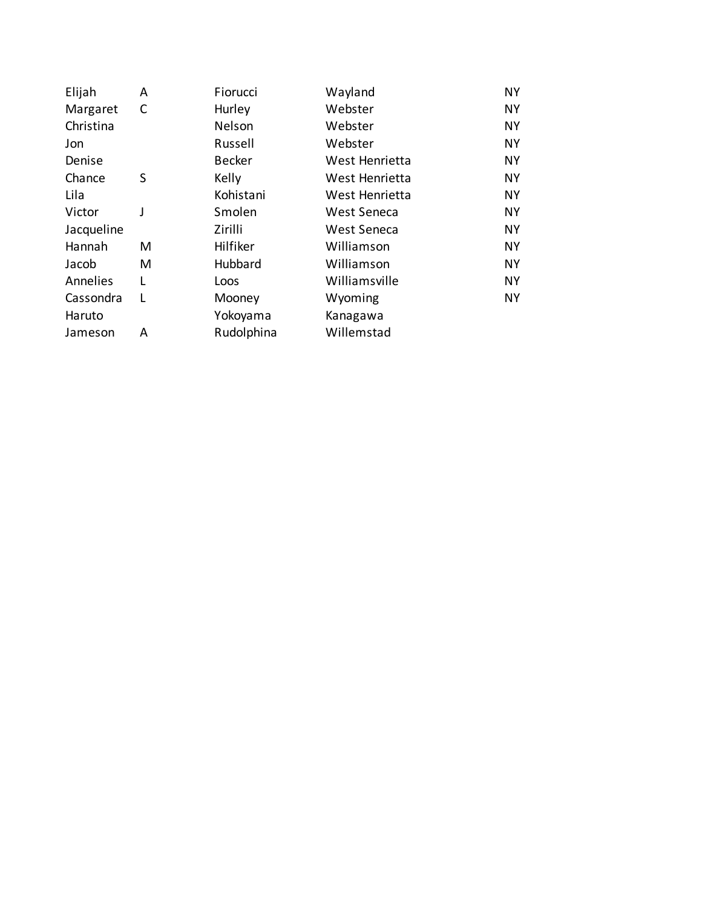| A | Fiorucci      | Wayland        | <b>NY</b> |
|---|---------------|----------------|-----------|
| C | Hurley        | Webster        | <b>NY</b> |
|   | Nelson        | Webster        | <b>NY</b> |
|   | Russell       | Webster        | <b>NY</b> |
|   | <b>Becker</b> | West Henrietta | <b>NY</b> |
| S | Kelly         | West Henrietta | NY.       |
|   | Kohistani     | West Henrietta | <b>NY</b> |
| J | Smolen        | West Seneca    | NY.       |
|   | Zirilli       | West Seneca    | <b>NY</b> |
| м | Hilfiker      | Williamson     | NY.       |
| M | Hubbard       | Williamson     | <b>NY</b> |
|   | Loos          | Williamsville  | NY.       |
| L | Mooney        | Wyoming        | <b>NY</b> |
|   | Yokoyama      | Kanagawa       |           |
| A | Rudolphina    | Willemstad     |           |
|   |               |                |           |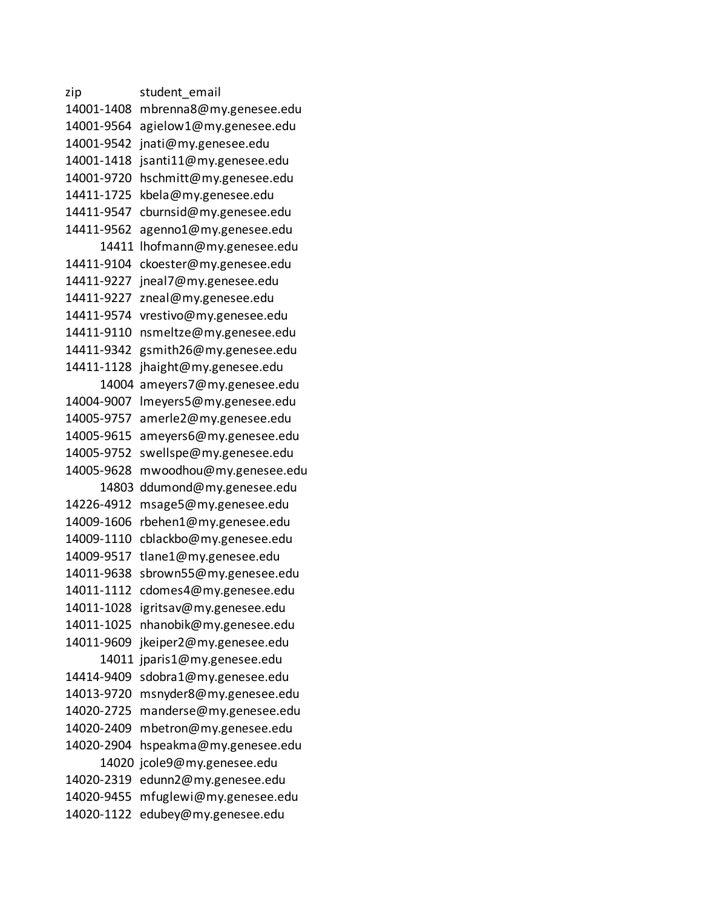zip student email 14001-1408 mbrenna8@my.genesee.edu 14001-9564 agielow1@my.genesee.edu 14001-9542 jnati@my.genesee.edu 14001-1418 jsanti11@my.genesee.edu 14001-9720 hschmitt@my.genesee.edu 14411-1725 kbela@my.genesee.edu 14411-9547 cburnsid@my.genesee.edu 14411-9562 agenno1@my.genesee.edu 14411 lhofmann@my.genesee.edu 14411-9104 ckoester@my.genesee.edu 14411-9227 jneal7@my.genesee.edu 14411-9227 zneal@my.genesee.edu 14411-9574 vrestivo@my.genesee.edu 14411-9110 nsmeltze@my.genesee.edu 14411-9342 gsmith26@my.genesee.edu 14411-1128 jhaight@my.genesee.edu 14004 ameyers7@my.genesee.edu 14004-9007 lmeyers5@my.genesee.edu 14005-9757 amerle2@my.genesee.edu 14005-9615 ameyers6@my.genesee.edu 14005-9752 swellspe@my.genesee.edu 14005-9628 mwoodhou@my.genesee.edu 14803 ddumond@my.genesee.edu 14226-4912 msage5@my.genesee.edu 14009-1606 rbehen1@my.genesee.edu 14009-1110 cblackbo@my.genesee.edu 14009-9517 tlane1@my.genesee.edu 14011-9638 sbrown55@my.genesee.edu 14011-1112 cdomes4@my.genesee.edu 14011-1028 igritsav@my.genesee.edu 14011-1025 nhanobik@my.genesee.edu 14011-9609 jkeiper2@my.genesee.edu 14011 jparis1@my.genesee.edu 14414-9409 sdobra1@my.genesee.edu 14013-9720 msnyder8@my.genesee.edu 14020-2725 manderse@my.genesee.edu 14020-2409 mbetron@my.genesee.edu 14020-2904 hspeakma@my.genesee.edu 14020 jcole9@my.genesee.edu 14020-2319 edunn2@my.genesee.edu 14020-9455 mfuglewi@my.genesee.edu 14020-1122 edubey@my.genesee.edu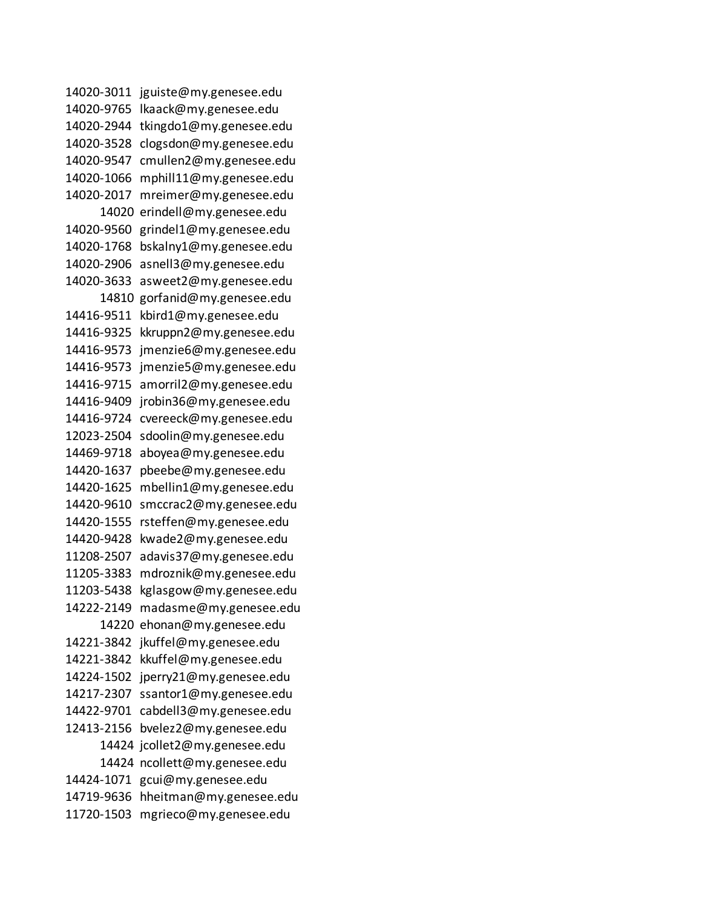14020-3011 jguiste@my.genesee.edu 14020-9765 lkaack@my.genesee.edu 14020-2944 tkingdo1@my.genesee.edu 14020-3528 clogsdon@my.genesee.edu 14020-9547 cmullen2@my.genesee.edu 14020-1066 mphill11@my.genesee.edu 14020-2017 mreimer@my.genesee.edu 14020 erindell@my.genesee.edu 14020-9560 grindel1@my.genesee.edu 14020-1768 bskalny1@my.genesee.edu 14020-2906 asnell3@my.genesee.edu 14020-3633 asweet2@my.genesee.edu 14810 gorfanid@my.genesee.edu 14416-9511 kbird1@my.genesee.edu 14416-9325 kkruppn2@my.genesee.edu 14416-9573 jmenzie6@my.genesee.edu 14416-9573 jmenzie5@my.genesee.edu 14416-9715 amorril2@my.genesee.edu 14416-9409 jrobin36@my.genesee.edu 14416-9724 cvereeck@my.genesee.edu 12023-2504 sdoolin@my.genesee.edu 14469-9718 aboyea@my.genesee.edu 14420-1637 pbeebe@my.genesee.edu 14420-1625 mbellin1@my.genesee.edu 14420-9610 smccrac2@my.genesee.edu 14420-1555 rsteffen@my.genesee.edu 14420-9428 kwade2@my.genesee.edu 11208-2507 adavis37@my.genesee.edu 11205-3383 mdroznik@my.genesee.edu 11203-5438 kglasgow@my.genesee.edu 14222-2149 madasme@my.genesee.edu 14220 ehonan@my.genesee.edu 14221-3842 jkuffel@my.genesee.edu 14221-3842 kkuffel@my.genesee.edu 14224-1502 jperry21@my.genesee.edu 14217-2307 ssantor1@my.genesee.edu 14422-9701 cabdell3@my.genesee.edu 12413-2156 bvelez2@my.genesee.edu 14424 jcollet2@my.genesee.edu 14424 ncollett@my.genesee.edu 14424-1071 gcui@my.genesee.edu 14719-9636 hheitman@my.genesee.edu 11720-1503 mgrieco@my.genesee.edu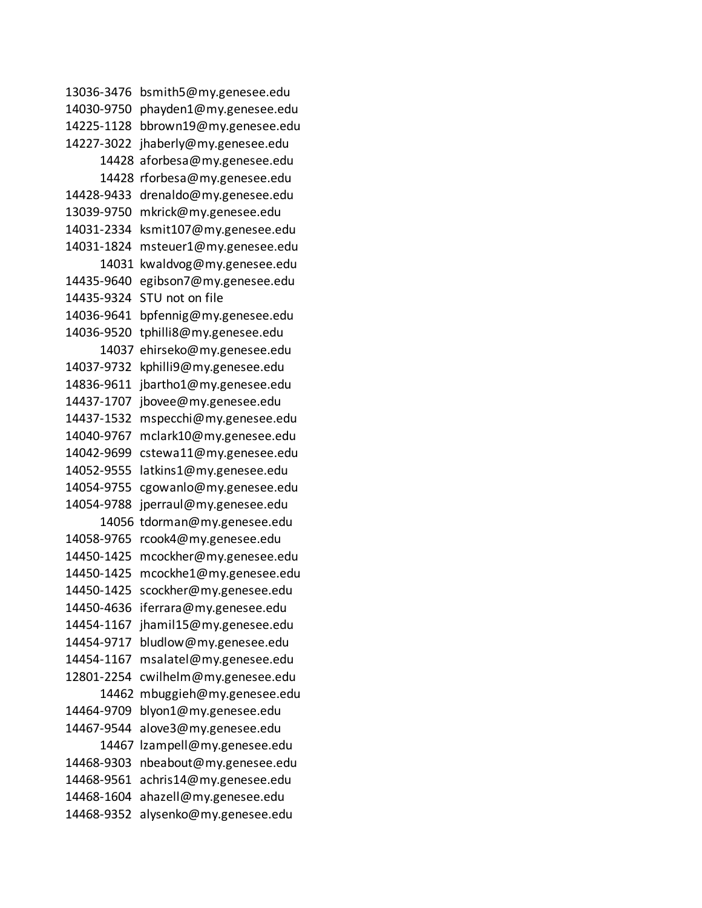13036-3476 bsmith5@my.genesee.edu 14030-9750 phayden1@my.genesee.edu 14225-1128 bbrown19@my.genesee.edu 14227-3022 jhaberly@my.genesee.edu 14428 aforbesa@my.genesee.edu 14428 rforbesa@my.genesee.edu 14428-9433 drenaldo@my.genesee.edu 13039-9750 mkrick@my.genesee.edu 14031-2334 ksmit107@my.genesee.edu 14031-1824 msteuer1@my.genesee.edu 14031 kwaldvog@my.genesee.edu 14435-9640 egibson7@my.genesee.edu 14435-9324 STU not on file 14036-9641 bpfennig@my.genesee.edu 14036-9520 tphilli8@my.genesee.edu 14037 ehirseko@my.genesee.edu 14037-9732 kphilli9@my.genesee.edu 14836-9611 jbartho1@my.genesee.edu 14437-1707 jbovee@my.genesee.edu 14437-1532 mspecchi@my.genesee.edu 14040-9767 mclark10@my.genesee.edu 14042-9699 cstewa11@my.genesee.edu 14052-9555 latkins1@my.genesee.edu 14054-9755 cgowanlo@my.genesee.edu 14054-9788 jperraul@my.genesee.edu 14056 tdorman@my.genesee.edu 14058-9765 rcook4@my.genesee.edu 14450-1425 mcockher@my.genesee.edu 14450-1425 mcockhe1@my.genesee.edu 14450-1425 scockher@my.genesee.edu 14450-4636 iferrara@my.genesee.edu 14454-1167 jhamil15@my.genesee.edu 14454-9717 bludlow@my.genesee.edu 14454-1167 msalatel@my.genesee.edu 12801-2254 cwilhelm@my.genesee.edu 14462 mbuggieh@my.genesee.edu 14464-9709 blyon1@my.genesee.edu 14467-9544 alove3@my.genesee.edu 14467 lzampell@my.genesee.edu 14468-9303 nbeabout@my.genesee.edu 14468-9561 achris14@my.genesee.edu 14468-1604 ahazell@my.genesee.edu 14468-9352 alysenko@my.genesee.edu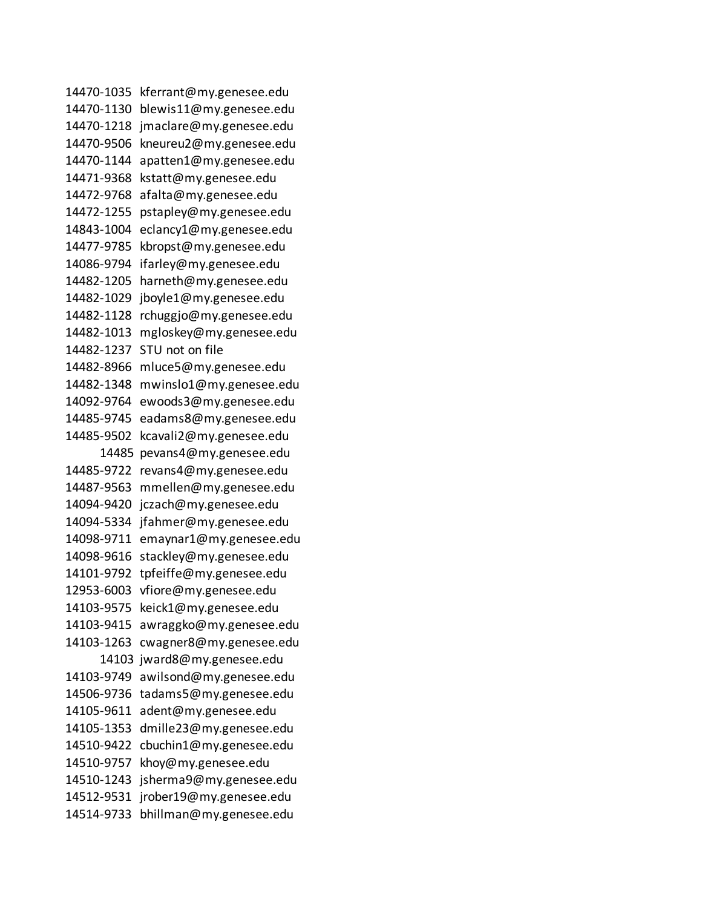14470-1035 kferrant@my.genesee.edu 14470-1130 blewis11@my.genesee.edu 14470-1218 jmaclare@my.genesee.edu 14470-9506 kneureu2@my.genesee.edu 14470-1144 apatten1@my.genesee.edu 14471-9368 kstatt@my.genesee.edu 14472-9768 afalta@my.genesee.edu 14472-1255 pstapley@my.genesee.edu 14843-1004 eclancy1@my.genesee.edu 14477-9785 kbropst@my.genesee.edu 14086-9794 ifarley@my.genesee.edu 14482-1205 harneth@my.genesee.edu 14482-1029 jboyle1@my.genesee.edu 14482-1128 rchuggjo@my.genesee.edu 14482-1013 mgloskey@my.genesee.edu 14482-1237 STU not on file 14482-8966 mluce5@my.genesee.edu 14482-1348 mwinslo1@my.genesee.edu 14092-9764 ewoods3@my.genesee.edu 14485-9745 eadams8@my.genesee.edu 14485-9502 kcavali2@my.genesee.edu 14485 pevans4@my.genesee.edu 14485-9722 revans4@my.genesee.edu 14487-9563 mmellen@my.genesee.edu 14094-9420 jczach@my.genesee.edu 14094-5334 jfahmer@my.genesee.edu 14098-9711 emaynar1@my.genesee.edu 14098-9616 stackley@my.genesee.edu 14101-9792 tpfeiffe@my.genesee.edu 12953-6003 vfiore@my.genesee.edu 14103-9575 keick1@my.genesee.edu 14103-9415 awraggko@my.genesee.edu 14103-1263 cwagner8@my.genesee.edu 14103 jward8@my.genesee.edu 14103-9749 awilsond@my.genesee.edu 14506-9736 tadams5@my.genesee.edu 14105-9611 adent@my.genesee.edu 14105-1353 dmille23@my.genesee.edu 14510-9422 cbuchin1@my.genesee.edu 14510-9757 khoy@my.genesee.edu 14510-1243 jsherma9@my.genesee.edu 14512-9531 jrober19@my.genesee.edu 14514-9733 bhillman@my.genesee.edu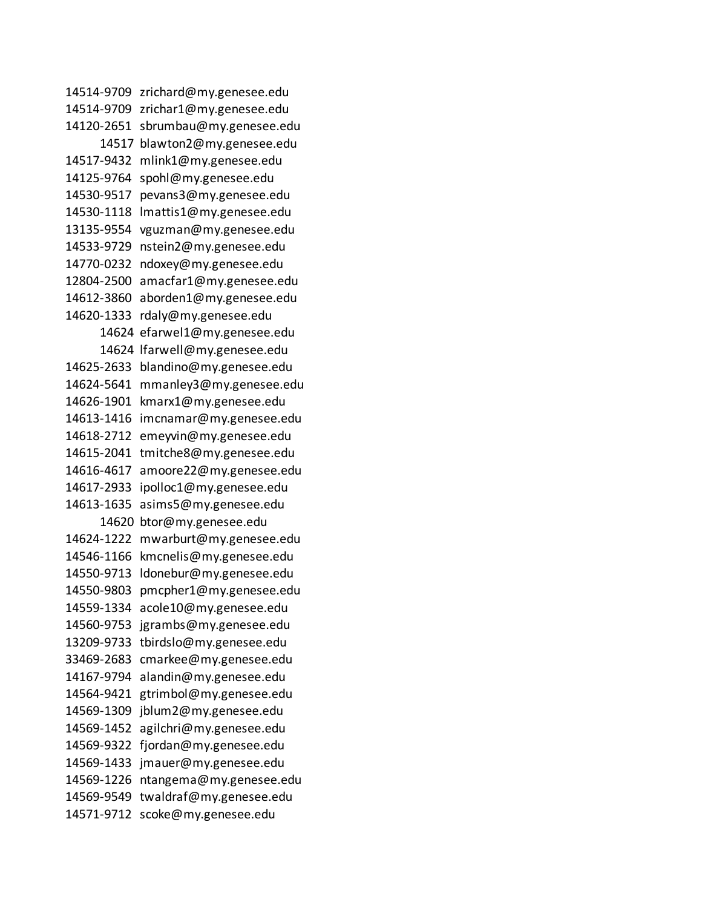14514-9709 zrichard@my.genesee.edu 14514-9709 zrichar1@my.genesee.edu 14120-2651 sbrumbau@my.genesee.edu 14517 blawton2@my.genesee.edu 14517-9432 mlink1@my.genesee.edu 14125-9764 spohl@my.genesee.edu 14530-9517 pevans3@my.genesee.edu 14530-1118 lmattis1@my.genesee.edu 13135-9554 vguzman@my.genesee.edu 14533-9729 nstein2@my.genesee.edu 14770-0232 ndoxey@my.genesee.edu 12804-2500 amacfar1@my.genesee.edu 14612-3860 aborden1@my.genesee.edu 14620-1333 rdaly@my.genesee.edu 14624 efarwel1@my.genesee.edu 14624 lfarwell@my.genesee.edu 14625-2633 blandino@my.genesee.edu 14624-5641 mmanley3@my.genesee.edu 14626-1901 kmarx1@my.genesee.edu 14613-1416 imcnamar@my.genesee.edu 14618-2712 emeyvin@my.genesee.edu 14615-2041 tmitche8@my.genesee.edu 14616-4617 amoore22@my.genesee.edu 14617-2933 ipolloc1@my.genesee.edu 14613-1635 asims5@my.genesee.edu 14620 btor@my.genesee.edu 14624-1222 mwarburt@my.genesee.edu 14546-1166 kmcnelis@my.genesee.edu 14550-9713 ldonebur@my.genesee.edu 14550-9803 pmcpher1@my.genesee.edu 14559-1334 acole10@my.genesee.edu 14560-9753 jgrambs@my.genesee.edu 13209-9733 tbirdslo@my.genesee.edu 33469-2683 cmarkee@my.genesee.edu 14167-9794 alandin@my.genesee.edu 14564-9421 gtrimbol@my.genesee.edu 14569-1309 jblum2@my.genesee.edu 14569-1452 agilchri@my.genesee.edu 14569-9322 fjordan@my.genesee.edu 14569-1433 jmauer@my.genesee.edu 14569-1226 ntangema@my.genesee.edu 14569-9549 twaldraf@my.genesee.edu 14571-9712 scoke@my.genesee.edu